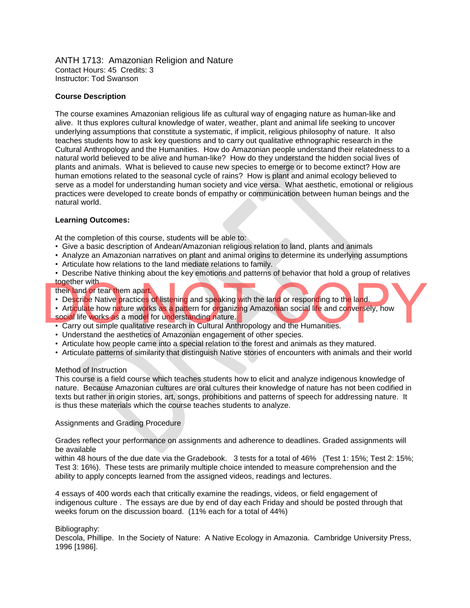ANTH 1713: Amazonian Religion and Nature Contact Hours: 45 Credits: 3 Instructor: Tod Swanson

#### **Course Description**

The course examines Amazonian religious life as cultural way of engaging nature as human-like and alive. It thus explores cultural knowledge of water, weather, plant and animal life seeking to uncover underlying assumptions that constitute a systematic, if implicit, religious philosophy of nature. It also teaches students how to ask key questions and to carry out qualitative ethnographic research in the Cultural Anthropology and the Humanities. How do Amazonian people understand their relatedness to a natural world believed to be alive and human-like? How do they understand the hidden social lives of plants and animals. What is believed to cause new species to emerge or to become extinct? How are human emotions related to the seasonal cycle of rains? How is plant and animal ecology believed to serve as a model for understanding human society and vice versa. What aesthetic, emotional or religious practices were developed to create bonds of empathy or communication between human beings and the natural world.

#### **Learning Outcomes:**

At the completion of this course, students will be able to:

- Give a basic description of Andean/Amazonian religious relation to land, plants and animals
- Analyze an Amazonian narratives on plant and animal origins to determine its underlying assumptions
- Articulate how relations to the land mediate relations to family.
- Describe Native thinking about the key emotions and patterns of behavior that hold a group of relatives together with
- their land or tear them apart.
- Describe Native practices of listening and speaking with the land or responding to the land.
- Articulate how nature works as a pattern for organizing Amazonian social life and conversely, how their land or tear them apart.<br>
• Describe Native practices of listening and speaking with the land or responding to the land.<br>
• Articulate how nature works as a pattern for organizing Amazonian social life and conversely
	- social life works as a model for understanding nature.
	- Carry out simple qualitative research in Cultural Anthropology and the Humanities.
	- Understand the aesthetics of Amazonian engagement of other species.
	- Articulate how people came into a special relation to the forest and animals as they matured.
	- Articulate patterns of similarity that distinguish Native stories of encounters with animals and their world

### Method of Instruction

This course is a field course which teaches students how to elicit and analyze indigenous knowledge of nature. Because Amazonian cultures are oral cultures their knowledge of nature has not been codified in texts but rather in origin stories, art, songs, prohibitions and patterns of speech for addressing nature. It is thus these materials which the course teaches students to analyze.

#### Assignments and Grading Procedure

Grades reflect your performance on assignments and adherence to deadlines. Graded assignments will be available

within 48 hours of the due date via the Gradebook. 3 tests for a total of 46% (Test 1: 15%; Test 2: 15%; Test 3: 16%). These tests are primarily multiple choice intended to measure comprehension and the ability to apply concepts learned from the assigned videos, readings and lectures.

4 essays of 400 words each that critically examine the readings, videos, or field engagement of indigenous culture . The essays are due by end of day each Friday and should be posted through that weeks forum on the discussion board. (11% each for a total of 44%)

#### Bibliography:

Descola, Phillipe. In the Society of Nature: A Native Ecology in Amazonia. Cambridge University Press, 1996 [1986].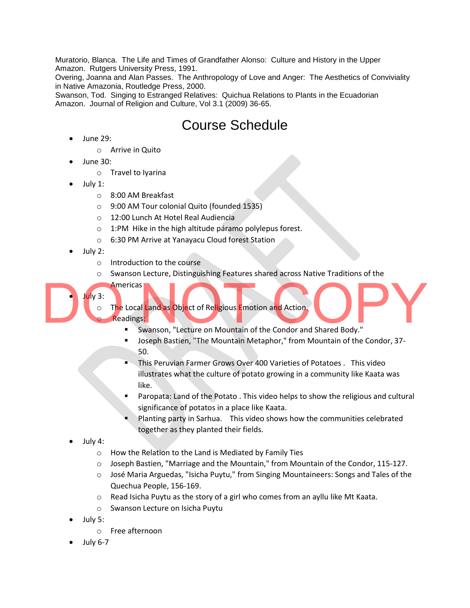Muratorio, Blanca. The Life and Times of Grandfather Alonso: Culture and History in the Upper Amazon. Rutgers University Press, 1991.

Overing, Joanna and Alan Passes. The Anthropology of Love and Anger: The Aesthetics of Conviviality in Native Amazonia, Routledge Press, 2000.

Swanson, Tod. Singing to Estranged Relatives: Quichua Relations to Plants in the Ecuadorian Amazon. Journal of Religion and Culture, Vol 3.1 (2009) 36-65.

## Course Schedule

- June 29:
	- o Arrive in Quito
- June 30:
	- o Travel to Iyarina
- July 1:
	- o 8:00 AM Breakfast
	- o 9:00 AM Tour colonial Quito (founded 1535)
	- o 12:00 Lunch At Hotel Real Audiencia
	- o 1:PM Hike in the high altitude páramo polylepus forest.
	- o 6:30 PM Arrive at Yanayacu Cloud forest Station
- July 2:

• July 3:

- o Introduction to the course
- o Swanson Lecture, Distinguishing Features shared across Native Traditions of the
- **Americas**
- The Local Land as Object of Religious Emotion and Action.
- Readings:
- Swanson, "Lecture on Mountain of the Condor and Shared Body." July 3:<br>
O The Local Land as Object of Religious Emotion and Action.<br>
Swanson, "Lecture on Mountain of the Condor and Shared Body."
	- Joseph Bastien, "The Mountain Metaphor," from Mountain of the Condor, 37- 50.
	- This Peruvian Farmer Grows Over 400 Varieties of Potatoes . This video illustrates what the culture of potato growing in a community like Kaata was like.
	- Paropata: Land of the Potato . This video helps to show the religious and cultural significance of potatos in a place like Kaata.
	- Planting party in Sarhua. This video shows how the communities celebrated together as they planted their fields.
	- July 4:
		- o How the Relation to the Land is Mediated by Family Ties
		- $\circ$  Joseph Bastien, "Marriage and the Mountain," from Mountain of the Condor, 115-127.
		- o José Maria Arguedas, "Isicha Puytu," from Singing Mountaineers: Songs and Tales of the Quechua People, 156-169.
		- o Read Isicha Puytu as the story of a girl who comes from an ayllu like Mt Kaata.
		- o Swanson Lecture on Isicha Puytu
	- July 5:
		- o Free afternoon
	- July 6-7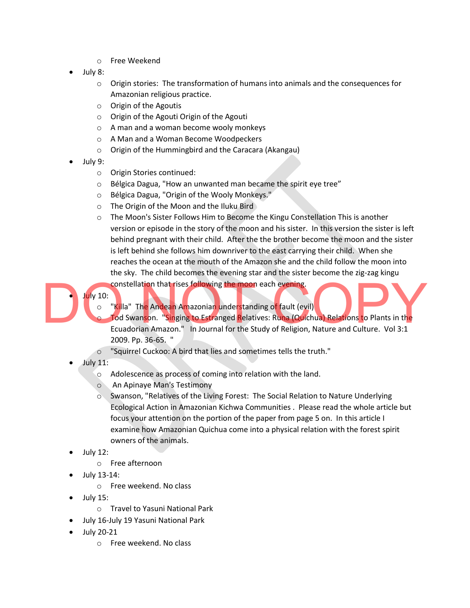- o Free Weekend
- July 8:
	- $\circ$  Origin stories: The transformation of humans into animals and the consequences for Amazonian religious practice.
	- o Origin of the Agoutis
	- o Origin of the Agouti Origin of the Agouti
	- o A man and a woman become wooly monkeys
	- o A Man and a Woman Become Woodpeckers
	- o Origin of the Hummingbird and the Caracara (Akangau)
- July 9:
	- o Origin Stories continued:
	- o Bélgica Dagua, "How an unwanted man became the spirit eye tree"
	- o Bélgica Dagua, "Origin of the Wooly Monkeys."
	- o The Origin of the Moon and the Iluku Bird
	- o The Moon's Sister Follows Him to Become the Kingu Constellation This is another version or episode in the story of the moon and his sister. In this version the sister is left behind pregnant with their child. After the the brother become the moon and the sister is left behind she follows him downriver to the east carrying their child. When she reaches the ocean at the mouth of the Amazon she and the child follow the moon into the sky. The child becomes the evening star and the sister become the zig-zag kingu

constellation that rises following the moon each evening.

• July 10:

- o "Killa" The Andean Amazonian understanding of fault (evil)
- Tod Swanson. "Singing to Estranged Relatives: Runa (Quichua) Relations to Plants in the Uly 10:<br>
o "Killa" The Andean Amazonian understanding of fault (evil)<br>
o Tod Swanson. "Singing to Estranged Relatives: Runa (Quichua) Relations to Plants in the<br>
Ecuadorian Amazon." In Journal for the Study of Religion, Na 2009. Pp. 36-65. "
	- o "Squirrel Cuckoo: A bird that lies and sometimes tells the truth."
	- July 11:
		- o Adolescence as process of coming into relation with the land.
		- o An Apinaye Man's Testimony
		- o Swanson, "Relatives of the Living Forest: The Social Relation to Nature Underlying Ecological Action in Amazonian Kichwa Communities . Please read the whole article but focus your attention on the portion of the paper from page 5 on. In this article I examine how Amazonian Quichua come into a physical relation with the forest spirit owners of the animals.
	- July 12:
		- o Free afternoon
	- July 13-14:
		- o Free weekend. No class
	- July 15:
		- o Travel to Yasuni National Park
	- July 16-July 19 Yasuni National Park
	- July 20-21
		- o Free weekend. No class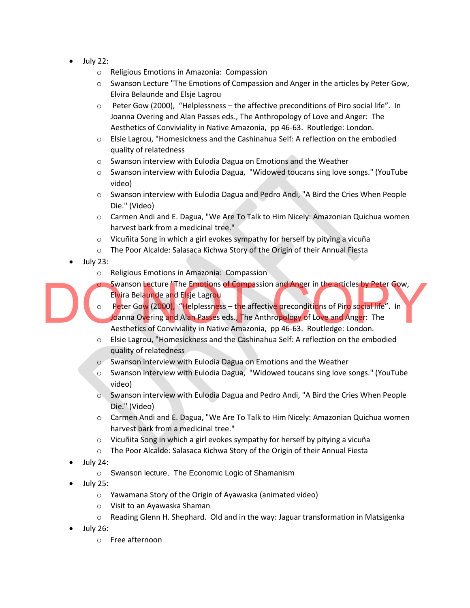- July 22:
	- o Religious Emotions in Amazonia: Compassion
	- $\circ$  Swanson Lecture "The Emotions of Compassion and Anger in the articles by Peter Gow, Elvira Belaunde and Elsje Lagrou
	- $\circ$  Peter Gow (2000), "Helplessness the affective preconditions of Piro social life". In Joanna Overing and Alan Passes eds., The Anthropology of Love and Anger: The Aesthetics of Conviviality in Native Amazonia, pp 46-63. Routledge: London.
	- o Elsie Lagrou, "Homesickness and the Cashinahua Self: A reflection on the embodied quality of relatedness
	- o Swanson interview with Eulodia Dagua on Emotions and the Weather
	- o Swanson interview with Eulodia Dagua, "Widowed toucans sing love songs." (YouTube video)
	- o Swanson interview with Eulodia Dagua and Pedro Andi, "A Bird the Cries When People Die." (Video)
	- $\circ$  Carmen Andi and E. Dagua, "We Are To Talk to Him Nicely: Amazonian Quichua women harvest bark from a medicinal tree."
	- o Vicuñita Song in which a girl evokes sympathy for herself by pitying a vicuña
	- o The Poor Alcalde: Salasaca Kichwa Story of the Origin of their Annual Fiesta
- July 23:
	- o Religious Emotions in Amazonia: Compassion
	- Swanson Lecture "The Emotions of Compassion and Anger in the articles by Peter Gow, Elvira Belaunde and Elsje Lagrou
- $\circ$  Peter Gow (2000), "Helplessn<mark>e</mark>ss t<mark>h</mark>e affective preconditions of Piro social life". In Joanna Overing and Alan Passes eds., The Anthropology of Love and Anger: The Aesthetics of Conviviality in Native Amazonia, pp 46-63. Routledge: London. Swanson Lecture "The Emotions of Compassion and Anger in the articles by Peter Gow,<br>Elvira Belaunde and Elsie Lagrou<br>Doanna Overing and Alan Passes eds., The Anthropology of Love and Anger: The<br>Aesthetics of Conviviality i
	- o Elsie Lagrou, "Homesickness and the Cashinahua Self: A reflection on the embodied quality of relatedness
	- o Swanson interview with Eulodia Dagua on Emotions and the Weather
	- o Swanson interview with Eulodia Dagua, "Widowed toucans sing love songs." (YouTube video)
	- o Swanson interview with Eulodia Dagua and Pedro Andi, "A Bird the Cries When People Die." (Video)
	- o Carmen Andi and E. Dagua, "We Are To Talk to Him Nicely: Amazonian Quichua women harvest bark from a medicinal tree."
	- o Vicuñita Song in which a girl evokes sympathy for herself by pitying a vicuña
	- o The Poor Alcalde: Salasaca Kichwa Story of the Origin of their Annual Fiesta
	- July 24:
		- o Swanson lecture, The Economic Logic of Shamanism
	- July 25:
		- o Yawamana Story of the Origin of Ayawaska (animated video)
		- o Visit to an Ayawaska Shaman
		- o Reading Glenn H. Shephard. Old and in the way: Jaguar transformation in Matsigenka
	- July 26:
		- o Free afternoon